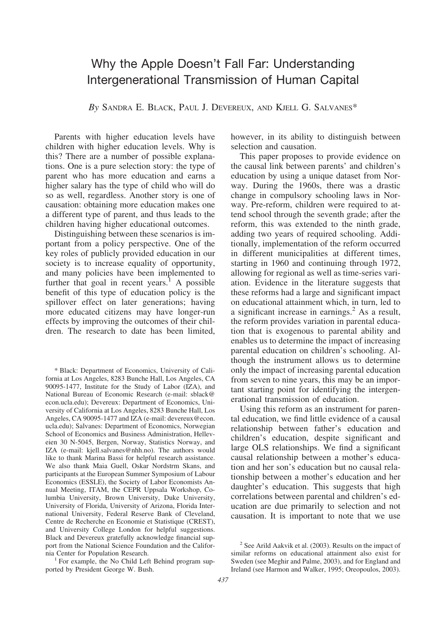# Why the Apple Doesn't Fall Far: Understanding Intergenerational Transmission of Human Capital

*By* SANDRA E. BLACK, PAUL J. DEVEREUX, AND KJELL G. SALVANES\*

Parents with higher education levels have children with higher education levels. Why is this? There are a number of possible explanations. One is a pure selection story: the type of parent who has more education and earns a higher salary has the type of child who will do so as well, regardless. Another story is one of causation: obtaining more education makes one a different type of parent, and thus leads to the children having higher educational outcomes.

Distinguishing between these scenarios is important from a policy perspective. One of the key roles of publicly provided education in our society is to increase equality of opportunity, and many policies have been implemented to further that goal in recent years.<sup>1</sup> A possible benefit of this type of education policy is the spillover effect on later generations; having more educated citizens may have longer-run effects by improving the outcomes of their children. The research to date has been limited,

\* Black: Department of Economics, University of California at Los Angeles, 8283 Bunche Hall, Los Angeles, CA 90095-1477, Institute for the Study of Labor (IZA), and National Bureau of Economic Research (e-mail: sblack@ econ.ucla.edu); Devereux: Department of Economics, University of California at Los Angeles, 8283 Bunche Hall, Los Angeles, CA 90095-1477 and IZA (e-mail: devereux@econ. ucla.edu); Salvanes: Department of Economics, Norwegian School of Economics and Business Administration, Helleveien 30 N-5045, Bergen, Norway, Statistics Norway, and IZA (e-mail: kjell.salvanes@nhh.no). The authors would like to thank Marina Bassi for helpful research assistance. We also thank Maia Guell, Oskar Nordstrm Skans, and participants at the European Summer Symposium of Labour Economics (ESSLE), the Society of Labor Economists Annual Meeting, ITAM, the CEPR Uppsala Workshop, Columbia University, Brown University, Duke University, University of Florida, University of Arizona, Florida International University, Federal Reserve Bank of Cleveland, Centre de Recherche en Economie et Statistique (CREST), and University College London for helpful suggestions. Black and Devereux gratefully acknowledge financial support from the National Science Foundation and the California Center for Population Research. <sup>1</sup> For example, the No Child Left Behind program sup-

ported by President George W. Bush.

however, in its ability to distinguish between selection and causation.

This paper proposes to provide evidence on the causal link between parents' and children's education by using a unique dataset from Norway. During the 1960s, there was a drastic change in compulsory schooling laws in Norway. Pre-reform, children were required to attend school through the seventh grade; after the reform, this was extended to the ninth grade, adding two years of required schooling. Additionally, implementation of the reform occurred in different municipalities at different times, starting in 1960 and continuing through 1972, allowing for regional as well as time-series variation. Evidence in the literature suggests that these reforms had a large and significant impact on educational attainment which, in turn, led to a significant increase in earnings. $<sup>2</sup>$  As a result,</sup> the reform provides variation in parental education that is exogenous to parental ability and enables us to determine the impact of increasing parental education on children's schooling. Although the instrument allows us to determine only the impact of increasing parental education from seven to nine years, this may be an important starting point for identifying the intergenerational transmission of education.

Using this reform as an instrument for parental education, we find little evidence of a causal relationship between father's education and children's education, despite significant and large OLS relationships. We find a significant causal relationship between a mother's education and her son's education but no causal relationship between a mother's education and her daughter's education. This suggests that high correlations between parental and children's education are due primarily to selection and not causation. It is important to note that we use

 $2$  See Arild Aakvik et al. (2003). Results on the impact of similar reforms on educational attainment also exist for Sweden (see Meghir and Palme, 2003), and for England and Ireland (see Harmon and Walker, 1995; Oreopoulos, 2003).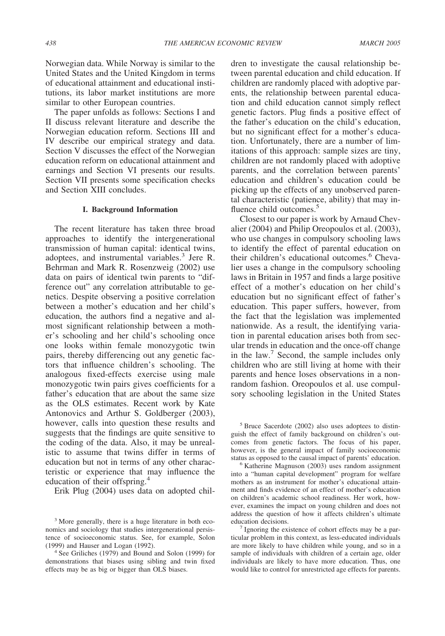Norwegian data. While Norway is similar to the United States and the United Kingdom in terms of educational attainment and educational institutions, its labor market institutions are more similar to other European countries.

The paper unfolds as follows: Sections I and II discuss relevant literature and describe the Norwegian education reform. Sections III and IV describe our empirical strategy and data. Section V discusses the effect of the Norwegian education reform on educational attainment and earnings and Section VI presents our results. Section VII presents some specification checks and Section XIII concludes.

## **I. Background Information**

The recent literature has taken three broad approaches to identify the intergenerational transmission of human capital: identical twins, adoptees, and instrumental variables.<sup>3</sup> Jere R. Behrman and Mark R. Rosenzweig (2002) use data on pairs of identical twin parents to "difference out" any correlation attributable to genetics. Despite observing a positive correlation between a mother's education and her child's education, the authors find a negative and almost significant relationship between a mother's schooling and her child's schooling once one looks within female monozygotic twin pairs, thereby differencing out any genetic factors that influence children's schooling. The analogous fixed-effects exercise using male monozygotic twin pairs gives coefficients for a father's education that are about the same size as the OLS estimates. Recent work by Kate Antonovics and Arthur S. Goldberger (2003), however, calls into question these results and suggests that the findings are quite sensitive to the coding of the data. Also, it may be unrealistic to assume that twins differ in terms of education but not in terms of any other characteristic or experience that may influence the education of their offspring.<sup>4</sup>

Erik Plug (2004) uses data on adopted chil-

dren to investigate the causal relationship between parental education and child education. If children are randomly placed with adoptive parents, the relationship between parental education and child education cannot simply reflect genetic factors. Plug finds a positive effect of the father's education on the child's education, but no significant effect for a mother's education. Unfortunately, there are a number of limitations of this approach: sample sizes are tiny, children are not randomly placed with adoptive parents, and the correlation between parents' education and children's education could be picking up the effects of any unobserved parental characteristic (patience, ability) that may influence child outcomes.<sup>5</sup>

Closest to our paper is work by Arnaud Chevalier (2004) and Philip Oreopoulos et al. (2003), who use changes in compulsory schooling laws to identify the effect of parental education on their children's educational outcomes.<sup>6</sup> Chevalier uses a change in the compulsory schooling laws in Britain in 1957 and finds a large positive effect of a mother's education on her child's education but no significant effect of father's education. This paper suffers, however, from the fact that the legislation was implemented nationwide. As a result, the identifying variation in parental education arises both from secular trends in education and the once-off change in the law.7 Second, the sample includes only children who are still living at home with their parents and hence loses observations in a nonrandom fashion. Oreopoulos et al. use compulsory schooling legislation in the United States

<sup>5</sup> Bruce Sacerdote (2002) also uses adoptees to distinguish the effect of family background on children's outcomes from genetic factors. The focus of his paper, however, is the general impact of family socioeconomic<br>status as opposed to the causal impact of parents' education.

<sup>&</sup>lt;sup>3</sup> More generally, there is a huge literature in both economics and sociology that studies intergenerational persistence of socioeconomic status. See, for example, Solon (1999) and Hauser and Logan (1992).

 $4$  See Griliches (1979) and Bound and Solon (1999) for demonstrations that biases using sibling and twin fixed effects may be as big or bigger than OLS biases.

 $6$  Katherine Magnuson (2003) uses random assignment into a "human capital development" program for welfare mothers as an instrument for mother's educational attainment and finds evidence of an effect of mother's education on children's academic school readiness. Her work, however, examines the impact on young children and does not address the question of how it affects children's ultimate education decisions. <sup>7</sup> Ignoring the existence of cohort effects may be a par-

ticular problem in this context, as less-educated individuals are more likely to have children while young, and so in a sample of individuals with children of a certain age, older individuals are likely to have more education. Thus, one would like to control for unrestricted age effects for parents.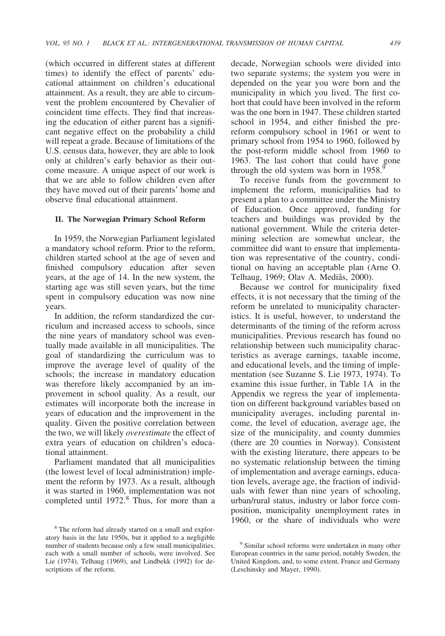(which occurred in different states at different times) to identify the effect of parents' educational attainment on children's educational attainment. As a result, they are able to circumvent the problem encountered by Chevalier of coincident time effects. They find that increasing the education of either parent has a significant negative effect on the probability a child will repeat a grade. Because of limitations of the U.S. census data, however, they are able to look only at children's early behavior as their outcome measure. A unique aspect of our work is that we are able to follow children even after they have moved out of their parents' home and observe final educational attainment.

# **II. The Norwegian Primary School Reform**

In 1959, the Norwegian Parliament legislated a mandatory school reform. Prior to the reform, children started school at the age of seven and finished compulsory education after seven years, at the age of 14. In the new system, the starting age was still seven years, but the time spent in compulsory education was now nine years.

In addition, the reform standardized the curriculum and increased access to schools, since the nine years of mandatory school was eventually made available in all municipalities. The goal of standardizing the curriculum was to improve the average level of quality of the schools; the increase in mandatory education was therefore likely accompanied by an improvement in school quality. As a result, our estimates will incorporate both the increase in years of education and the improvement in the quality. Given the positive correlation between the two, we will likely *overestimate* the effect of extra years of education on children's educational attainment.

Parliament mandated that all municipalities (the lowest level of local administration) implement the reform by 1973. As a result, although it was started in 1960, implementation was not completed until 1972.<sup>8</sup> Thus, for more than a

decade, Norwegian schools were divided into two separate systems; the system you were in depended on the year you were born and the municipality in which you lived. The first cohort that could have been involved in the reform was the one born in 1947. These children started school in 1954, and either finished the prereform compulsory school in 1961 or went to primary school from 1954 to 1960, followed by the post-reform middle school from 1960 to 1963. The last cohort that could have gone through the old system was born in 1958.

To receive funds from the government to implement the reform, municipalities had to present a plan to a committee under the Ministry of Education. Once approved, funding for teachers and buildings was provided by the national government. While the criteria determining selection are somewhat unclear, the committee did want to ensure that implementation was representative of the country, conditional on having an acceptable plan (Arne O. Telhaug, 1969; Olav A. Mediås, 2000).

Because we control for municipality fixed effects, it is not necessary that the timing of the reform be unrelated to municipality characteristics. It is useful, however, to understand the determinants of the timing of the reform across municipalities. Previous research has found no relationship between such municipality characteristics as average earnings, taxable income, and educational levels, and the timing of implementation (see Suzanne S. Lie 1973, 1974). To examine this issue further, in Table 1A in the Appendix we regress the year of implementation on different background variables based on municipality averages, including parental income, the level of education, average age, the size of the municipality, and county dummies (there are 20 counties in Norway). Consistent with the existing literature, there appears to be no systematic relationship between the timing of implementation and average earnings, education levels, average age, the fraction of individuals with fewer than nine years of schooling, urban/rural status, industry or labor force composition, municipality unemployment rates in <sup>8</sup> The reform had already started on a small and explor-<br><sup>8</sup> The reform had already started on a small and explor-

atory basis in the late 1950s, but it applied to a negligible number of students because only a few small municipalities, each with a small number of schools, were involved. See Lie (1974), Telhaug (1969), and Lindbekk (1992) for descriptions of the reform.

<sup>9</sup> Similar school reforms were undertaken in many other European countries in the same period, notably Sweden, the United Kingdom, and, to some extent, France and Germany (Leschinsky and Mayer, 1990).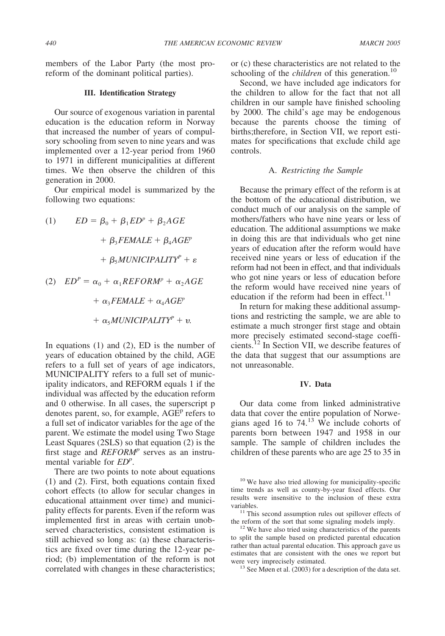members of the Labor Party (the most proreform of the dominant political parties).

## **III. Identification Strategy**

Our source of exogenous variation in parental education is the education reform in Norway that increased the number of years of compulsory schooling from seven to nine years and was implemented over a 12-year period from 1960 to 1971 in different municipalities at different times. We then observe the children of this generation in 2000.

Our empirical model is summarized by the following two equations:

(1)  $ED = \beta_0 + \beta_1 ED^p + \beta_2 AGE$  $+ \beta_3$ *FEMALE* +  $\beta_4$ *AGE<sup>p</sup>* +  $\beta_5$ *MUNICIPALITY*<sup>*P*</sup> +  $\varepsilon$ (2)  $ED^P = \alpha_0 + \alpha_1 REFORM^P + \alpha_2 AGE$  $+ \alpha_3 FEMALE + \alpha_4 AGE^p$  $+ \alpha_5 M UNICIPALITY^P + v.$ 

In equations (1) and (2), ED is the number of years of education obtained by the child, AGE refers to a full set of years of age indicators, MUNICIPALITY refers to a full set of municipality indicators, and REFORM equals 1 if the individual was affected by the education reform and 0 otherwise. In all cases, the superscript p denotes parent, so, for example,  $AGE<sup>p</sup>$  refers to a full set of indicator variables for the age of the parent. We estimate the model using Two Stage Least Squares (2SLS) so that equation (2) is the first stage and  $REFORM<sup>p</sup>$  serves as an instrumental variable for *ED<sup>p</sup>* .

There are two points to note about equations (1) and (2). First, both equations contain fixed cohort effects (to allow for secular changes in educational attainment over time) and municipality effects for parents. Even if the reform was implemented first in areas with certain unobserved characteristics, consistent estimation is still achieved so long as: (a) these characteristics are fixed over time during the 12-year period; (b) implementation of the reform is not correlated with changes in these characteristics;

or (c) these characteristics are not related to the schooling of the *children* of this generation.<sup>10</sup>

Second, we have included age indicators for the children to allow for the fact that not all children in our sample have finished schooling by 2000. The child's age may be endogenous because the parents choose the timing of births;therefore, in Section VII, we report estimates for specifications that exclude child age controls.

# A. *Restricting the Sample*

Because the primary effect of the reform is at the bottom of the educational distribution, we conduct much of our analysis on the sample of mothers/fathers who have nine years or less of education. The additional assumptions we make in doing this are that individuals who get nine years of education after the reform would have received nine years or less of education if the reform had not been in effect, and that individuals who got nine years or less of education before the reform would have received nine years of education if the reform had been in effect. $11$ 

In return for making these additional assumptions and restricting the sample, we are able to estimate a much stronger first stage and obtain more precisely estimated second-stage coefficients.12 In Section VII, we describe features of the data that suggest that our assumptions are not unreasonable.

## **IV. Data**

Our data come from linked administrative data that cover the entire population of Norwegians aged 16 to  $74<sup>13</sup>$  We include cohorts of parents born between 1947 and 1958 in our sample. The sample of children includes the children of these parents who are age 25 to 35 in

<sup>&</sup>lt;sup>10</sup> We have also tried allowing for municipality-specific time trends as well as county-by-year fixed effects. Our results were insensitive to the inclusion of these extra variables. <sup>11</sup> This second assumption rules out spillover effects of

the reform of the sort that some signaling models imply.<br><sup>12</sup> We have also tried using characteristics of the parents

to split the sample based on predicted parental education rather than actual parental education. This approach gave us estimates that are consistent with the ones we report but were very imprecisely estimated.<br><sup>13</sup> See Møen et al. (2003) for a description of the data set.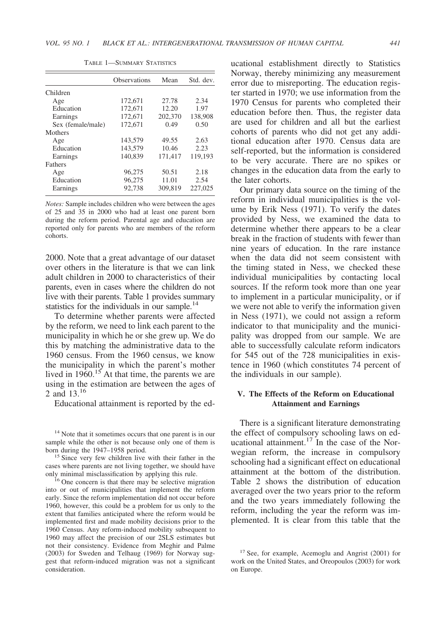|                   | <b>Observations</b> | Mean    | Std. dev. |
|-------------------|---------------------|---------|-----------|
| Children          |                     |         |           |
| Age               | 172,671             | 27.78   | 2.34      |
| Education         | 172,671             | 12.20   | 1.97      |
| Earnings          | 172,671             | 202,370 | 138,908   |
| Sex (female/male) | 172,671             | 0.49    | 0.50      |
| Mothers           |                     |         |           |
| Age               | 143,579             | 49.55   | 2.63      |
| Education         | 143,579             | 10.46   | 2.23      |
| Earnings          | 140.839             | 171.417 | 119.193   |
| Fathers           |                     |         |           |
| Age               | 96.275              | 50.51   | 2.18      |
| Education         | 96.275              | 11.01   | 2.54      |
| Earnings          | 92,738              | 309,819 | 227,025   |
|                   |                     |         |           |

TABLE 1—SUMMARY STATISTICS

*Notes:* Sample includes children who were between the ages of 25 and 35 in 2000 who had at least one parent born during the reform period. Parental age and education are reported only for parents who are members of the reform cohorts.

2000. Note that a great advantage of our dataset over others in the literature is that we can link adult children in 2000 to characteristics of their parents, even in cases where the children do not live with their parents. Table 1 provides summary statistics for the individuals in our sample.<sup>14</sup>

To determine whether parents were affected by the reform, we need to link each parent to the municipality in which he or she grew up. We do this by matching the administrative data to the 1960 census. From the 1960 census, we know the municipality in which the parent's mother lived in  $1960$ .<sup>15</sup> At that time, the parents we are using in the estimation are between the ages of 2 and  $13^{16}$ 

Educational attainment is reported by the ed-

<sup>14</sup> Note that it sometimes occurs that one parent is in our sample while the other is not because only one of them is born during the 1947–1958 period.

 $15$  Since very few children live with their father in the cases where parents are not living together, we should have only minimal misclassification by applying this rule. <sup>16</sup> One concern is that there may be selective migration

into or out of municipalities that implement the reform early. Since the reform implementation did not occur before 1960, however, this could be a problem for us only to the extent that families anticipated where the reform would be implemented first and made mobility decisions prior to the 1960 Census. Any reform-induced mobility subsequent to 1960 may affect the precision of our 2SLS estimates but not their consistency. Evidence from Meghir and Palme (2003) for Sweden and Telhaug (1969) for Norway suggest that reform-induced migration was not a significant consideration.

ucational establishment directly to Statistics Norway, thereby minimizing any measurement error due to misreporting. The education register started in 1970; we use information from the 1970 Census for parents who completed their education before then. Thus, the register data are used for children and all but the earliest cohorts of parents who did not get any additional education after 1970. Census data are self-reported, but the information is considered to be very accurate. There are no spikes or changes in the education data from the early to the later cohorts.

Our primary data source on the timing of the reform in individual municipalities is the volume by Erik Ness (1971). To verify the dates provided by Ness, we examined the data to determine whether there appears to be a clear break in the fraction of students with fewer than nine years of education. In the rare instance when the data did not seem consistent with the timing stated in Ness, we checked these individual municipalities by contacting local sources. If the reform took more than one year to implement in a particular municipality, or if we were not able to verify the information given in Ness (1971), we could not assign a reform indicator to that municipality and the municipality was dropped from our sample. We are able to successfully calculate reform indicators for 545 out of the 728 municipalities in existence in 1960 (which constitutes 74 percent of the individuals in our sample).

# **V. The Effects of the Reform on Educational Attainment and Earnings**

There is a significant literature demonstrating the effect of compulsory schooling laws on educational attainment.<sup>17</sup> In the case of the Norwegian reform, the increase in compulsory schooling had a significant effect on educational attainment at the bottom of the distribution. Table 2 shows the distribution of education averaged over the two years prior to the reform and the two years immediately following the reform, including the year the reform was implemented. It is clear from this table that the

<sup>&</sup>lt;sup>17</sup> See, for example, Acemoglu and Angrist (2001) for work on the United States, and Oreopoulos (2003) for work on Europe.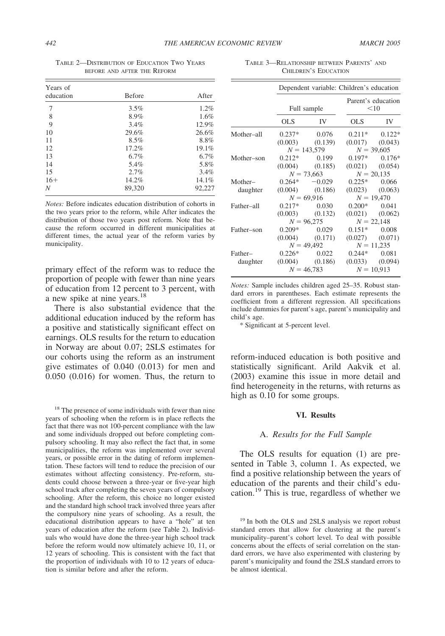TABLE 2—DISTRIBUTION OF EDUCATION TWO YEARS BEFORE AND AFTER THE REFORM

| Years of<br>education | <b>Before</b> | After   |
|-----------------------|---------------|---------|
| 7                     | 3.5%          | 1.2%    |
| 8                     | 8.9%          | 1.6%    |
| 9                     | 3.4%          | 12.9%   |
| 10                    | 29.6%         | 26.6%   |
| 11                    | 8.5%          | 8.8%    |
| 12                    | 17.2%         | 19.1%   |
| 13                    | 6.7%          | 6.7%    |
| 14                    | 5.4%          | 5.8%    |
| 15                    | 2.7%          | $3.4\%$ |
| $16+$                 | 14.2%         | 14.1%   |
| Ν                     | 89,320        | 92,227  |

*Notes:* Before indicates education distribution of cohorts in the two years prior to the reform, while After indicates the distribution of those two years post reform. Note that because the reform occurred in different municipalities at different times, the actual year of the reform varies by municipality.

primary effect of the reform was to reduce the proportion of people with fewer than nine years of education from 12 percent to 3 percent, with a new spike at nine years.<sup>18</sup>

There is also substantial evidence that the additional education induced by the reform has a positive and statistically significant effect on earnings. OLS results for the return to education in Norway are about 0.07; 2SLS estimates for our cohorts using the reform as an instrument give estimates of 0.040 (0.013) for men and 0.050 (0.016) for women. Thus, the return to

<sup>18</sup> The presence of some individuals with fewer than nine years of schooling when the reform is in place reflects the fact that there was not 100-percent compliance with the law and some individuals dropped out before completing compulsory schooling. It may also reflect the fact that, in some municipalities, the reform was implemented over several years, or possible error in the dating of reform implementation. These factors will tend to reduce the precision of our estimates without affecting consistency. Pre-reform, students could choose between a three-year or five-year high school track after completing the seven years of compulsory schooling. After the reform, this choice no longer existed and the standard high school track involved three years after the compulsory nine years of schooling. As a result, the educational distribution appears to have a "hole" at ten years of education after the reform (see Table 2). Individuals who would have done the three-year high school track before the reform would now ultimately achieve 10, 11, or 12 years of schooling. This is consistent with the fact that the proportion of individuals with 10 to 12 years of education is similar before and after the reform.

TABLE 3—RELATIONSHIP BETWEEN PARENTS' AND CHILDREN'S EDUCATION

|            |            | Dependent variable: Children's education |                     |                              |  |  |
|------------|------------|------------------------------------------|---------------------|------------------------------|--|--|
|            |            | Full sample                              |                     | Parent's education<br>$<$ 10 |  |  |
|            | <b>OLS</b> | IV                                       | <b>OLS</b>          | IV                           |  |  |
| Mother-all |            | $0.237*$ 0.076                           |                     | $0.211*$ $0.122*$            |  |  |
|            |            | $(0.003)$ $(0.139)$                      | $(0.017)$ $(0.043)$ |                              |  |  |
|            |            | $N = 143,579$                            |                     | $N = 39,605$                 |  |  |
| Mother-son |            | $0.212*$ 0.199                           |                     | $0.197*$ $0.176*$            |  |  |
|            |            | $(0.004)$ $(0.185)$                      |                     | $(0.021)$ $(0.054)$          |  |  |
|            |            | $N = 73,663$                             |                     | $N = 20,135$                 |  |  |
| Mother-    |            | $0.264* -0.029$                          |                     | $0.225*$ 0.066               |  |  |
| daughter   |            | $(0.004)$ $(0.186)$                      |                     | $(0.023)$ $(0.063)$          |  |  |
|            |            | $N = 69,916$                             |                     | $N = 19,470$                 |  |  |
| Father-all |            | $0.217*$ 0.030                           | $0.200*$            | 0.041                        |  |  |
|            |            | $(0.003)$ $(0.132)$                      |                     | $(0.021)$ $(0.062)$          |  |  |
|            |            | $N = 96,275$                             |                     | $N = 22,148$                 |  |  |
| Father-son |            | $0.209*$ 0.029                           |                     | $0.151*$ 0.008               |  |  |
|            |            | $(0.004)$ $(0.171)$                      |                     | $(0.027)$ $(0.071)$          |  |  |
|            |            | $N = 49,492$                             |                     | $N = 11,235$                 |  |  |
| Father-    |            | $0.226*$ 0.022                           | $0.244*$ 0.081      |                              |  |  |
| daughter   |            | $(0.004)$ $(0.186)$                      |                     | $(0.033)$ $(0.094)$          |  |  |
|            |            | $N = 46,783$                             |                     | $N = 10,913$                 |  |  |

*Notes:* Sample includes children aged 25–35. Robust standard errors in parentheses. Each estimate represents the coefficient from a different regression. All specifications include dummies for parent's age, parent's municipality and child's age.

\* Significant at 5-percent level.

reform-induced education is both positive and statistically significant. Arild Aakvik et al. (2003) examine this issue in more detail and find heterogeneity in the returns, with returns as high as 0.10 for some groups.

# **VI. Results**

#### A. *Results for the Full Sample*

The OLS results for equation (1) are presented in Table 3, column 1. As expected, we find a positive relationship between the years of education of the parents and their child's education.19 This is true, regardless of whether we

<sup>&</sup>lt;sup>19</sup> In both the OLS and 2SLS analysis we report robust standard errors that allow for clustering at the parent's municipality–parent's cohort level. To deal with possible concerns about the effects of serial correlation on the standard errors, we have also experimented with clustering by parent's municipality and found the 2SLS standard errors to be almost identical.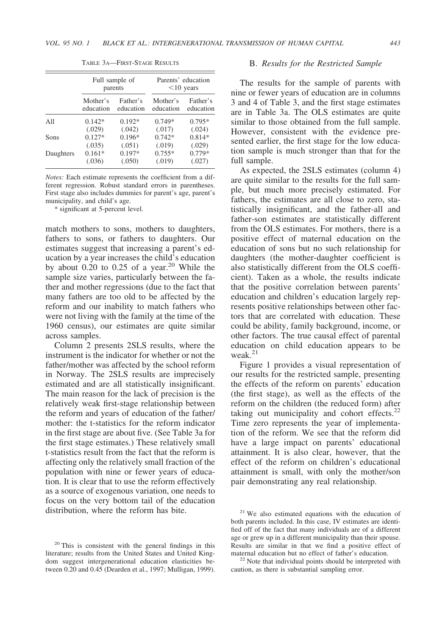|           | Full sample of<br>parents |           | Parents' education<br>$<$ 10 years |           |  |
|-----------|---------------------------|-----------|------------------------------------|-----------|--|
|           | Mother's                  | Father's  | Mother's                           | Father's  |  |
|           | education                 | education | education                          | education |  |
| A11       | $0.142*$                  | $0.192*$  | $0.749*$                           | $0.795*$  |  |
|           | (.029)                    | (.042)    | (.017)                             | (.024)    |  |
| Sons      | $0.127*$                  | $0.196*$  | $0.742*$                           | $0.814*$  |  |
|           | (.035)                    | (.051)    | (.019)                             | (.029)    |  |
| Daughters | $0.161*$                  | $0.197*$  | $0.755*$                           | 0.779*    |  |
|           | (.036)                    | (.050)    | (.019)                             | (.027)    |  |

TABLE 3A—FIRST-STAGE RESULTS

*Notes:* Each estimate represents the coefficient from a different regression. Robust standard errors in parentheses. First stage also includes dummies for parent's age, parent's municipality, and child's age.

\* significant at 5-percent level.

match mothers to sons, mothers to daughters, fathers to sons, or fathers to daughters. Our estimates suggest that increasing a parent's education by a year increases the child's education by about  $0.20$  to  $0.25$  of a year.<sup>20</sup> While the sample size varies, particularly between the father and mother regressions (due to the fact that many fathers are too old to be affected by the reform and our inability to match fathers who were not living with the family at the time of the 1960 census), our estimates are quite similar across samples.

Column 2 presents 2SLS results, where the instrument is the indicator for whether or not the father/mother was affected by the school reform in Norway. The 2SLS results are imprecisely estimated and are all statistically insignificant. The main reason for the lack of precision is the relatively weak first-stage relationship between the reform and years of education of the father/ mother: the t-statistics for the reform indicator in the first stage are about five. (See Table 3a for the first stage estimates.) These relatively small t-statistics result from the fact that the reform is affecting only the relatively small fraction of the population with nine or fewer years of education. It is clear that to use the reform effectively as a source of exogenous variation, one needs to focus on the very bottom tail of the education distribution, where the reform has bite.

#### B. *Results for the Restricted Sample*

The results for the sample of parents with nine or fewer years of education are in columns 3 and 4 of Table 3, and the first stage estimates are in Table 3a. The OLS estimates are quite similar to those obtained from the full sample. However, consistent with the evidence presented earlier, the first stage for the low education sample is much stronger than that for the full sample.

As expected, the 2SLS estimates (column 4) are quite similar to the results for the full sample, but much more precisely estimated. For fathers, the estimates are all close to zero, statistically insignificant, and the father-all and father-son estimates are statistically different from the OLS estimates. For mothers, there is a positive effect of maternal education on the education of sons but no such relationship for daughters (the mother-daughter coefficient is also statistically different from the OLS coefficient). Taken as a whole, the results indicate that the positive correlation between parents' education and children's education largely represents positive relationships between other factors that are correlated with education. These could be ability, family background, income, or other factors. The true causal effect of parental education on child education appears to be weak.21

Figure 1 provides a visual representation of our results for the restricted sample, presenting the effects of the reform on parents' education (the first stage), as well as the effects of the reform on the children (the reduced form) after taking out municipality and cohort effects.<sup>22</sup> Time zero represents the year of implementation of the reform. We see that the reform did have a large impact on parents' educational attainment. It is also clear, however, that the effect of the reform on children's educational attainment is small, with only the mother/son pair demonstrating any real relationship.

<sup>&</sup>lt;sup>20</sup> This is consistent with the general findings in this literature; results from the United States and United Kingdom suggest intergenerational education elasticities between 0.20 and 0.45 (Dearden et al., 1997; Mulligan, 1999).

 $21$  We also estimated equations with the education of both parents included. In this case, IV estimates are identified off of the fact that many individuals are of a different age or grew up in a different municipality than their spouse. Results are similar in that we find a positive effect of maternal education but no effect of father's education.

 $22$  Note that individual points should be interpreted with caution, as there is substantial sampling error.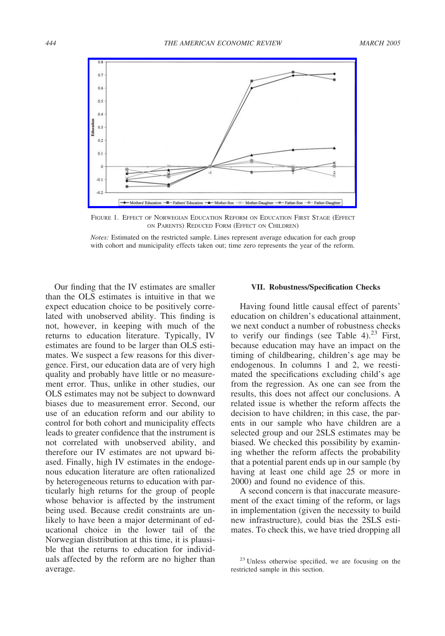

FIGURE 1. EFFECT OF NORWEGIAN EDUCATION REFORM ON EDUCATION FIRST STAGE (EFFECT ON PARENTS) REDUCED FORM (EFFECT ON CHILDREN)

*Notes:* Estimated on the restricted sample. Lines represent average education for each group with cohort and municipality effects taken out; time zero represents the year of the reform.

Our finding that the IV estimates are smaller than the OLS estimates is intuitive in that we expect education choice to be positively correlated with unobserved ability. This finding is not, however, in keeping with much of the returns to education literature. Typically, IV estimates are found to be larger than OLS estimates. We suspect a few reasons for this divergence. First, our education data are of very high quality and probably have little or no measurement error. Thus, unlike in other studies, our OLS estimates may not be subject to downward biases due to measurement error. Second, our use of an education reform and our ability to control for both cohort and municipality effects leads to greater confidence that the instrument is not correlated with unobserved ability, and therefore our IV estimates are not upward biased. Finally, high IV estimates in the endogenous education literature are often rationalized by heterogeneous returns to education with particularly high returns for the group of people whose behavior is affected by the instrument being used. Because credit constraints are unlikely to have been a major determinant of educational choice in the lower tail of the Norwegian distribution at this time, it is plausible that the returns to education for individuals affected by the reform are no higher than average.

## **VII. Robustness/Specification Checks**

Having found little causal effect of parents' education on children's educational attainment, we next conduct a number of robustness checks to verify our findings (see Table 4).<sup>23</sup> First, because education may have an impact on the timing of childbearing, children's age may be endogenous. In columns 1 and 2, we reestimated the specifications excluding child's age from the regression. As one can see from the results, this does not affect our conclusions. A related issue is whether the reform affects the decision to have children; in this case, the parents in our sample who have children are a selected group and our 2SLS estimates may be biased. We checked this possibility by examining whether the reform affects the probability that a potential parent ends up in our sample (by having at least one child age 25 or more in 2000) and found no evidence of this.

A second concern is that inaccurate measurement of the exact timing of the reform, or lags in implementation (given the necessity to build new infrastructure), could bias the 2SLS estimates. To check this, we have tried dropping all

<sup>&</sup>lt;sup>23</sup> Unless otherwise specified, we are focusing on the restricted sample in this section.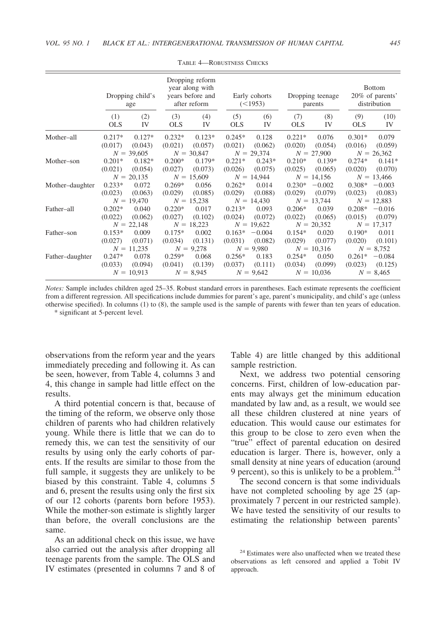|                 |                     | Dropping reform<br>year along with<br>years before and<br>Dropping child's<br>after reform<br>age |                     | Early cohorts<br>(<1953)            |                     | Dropping teenage<br>parents         |                     | <b>Bottom</b><br>20% of parents'<br>distribution |                     |                                     |
|-----------------|---------------------|---------------------------------------------------------------------------------------------------|---------------------|-------------------------------------|---------------------|-------------------------------------|---------------------|--------------------------------------------------|---------------------|-------------------------------------|
|                 | (1)<br><b>OLS</b>   | (2)<br>IV                                                                                         | (3)<br><b>OLS</b>   | (4)<br>IV                           | (5)<br><b>OLS</b>   | (6)<br>IV                           | (7)<br><b>OLS</b>   | (8)<br>IV                                        | (9)<br><b>OLS</b>   | (10)<br>IV                          |
| Mother-all      | $0.217*$<br>(0.017) | $0.127*$<br>(0.043)<br>$N = 39,605$                                                               | $0.232*$<br>(0.021) | $0.123*$<br>(0.057)<br>$N = 30,847$ | $0.245*$<br>(0.021) | 0.128<br>(0.062)<br>$N = 29,374$    | $0.221*$<br>(0.020) | 0.076<br>(0.054)<br>$N = 27,900$                 | $0.301*$<br>(0.016) | 0.079<br>(0.059)<br>$N = 26,362$    |
| Mother-son      | $0.201*$<br>(0.021) | $0.182*$<br>(0.054)<br>$N = 20,135$                                                               | $0.200*$<br>(0.027) | $0.179*$<br>(0.073)<br>$N = 15,609$ | $0.221*$<br>(0.026) | $0.243*$<br>(0.075)<br>$N = 14,944$ | $0.210*$<br>(0.025) | $0.139*$<br>(0.065)<br>$N = 14,156$              | $0.274*$<br>(0.020) | $0.141*$<br>(0.070)<br>$N = 13,466$ |
| Mother-daughter | $0.233*$<br>(0.023) | 0.072<br>(0.063)<br>$N = 19,470$                                                                  | $0.269*$<br>(0.029) | 0.056<br>(0.085)<br>$N = 15,238$    | $0.262*$<br>(0.029) | 0.014<br>(0.088)<br>$N = 14,430$    | $0.230*$<br>(0.029) | $-0.002$<br>(0.079)<br>$N = 13,744$              | $0.308*$<br>(0.023) | $-0.003$<br>(0.083)<br>$N = 12,883$ |
| Father-all      | $0.202*$<br>(0.022) | 0.040<br>(0.062)<br>$N = 22,148$                                                                  | $0.220*$<br>(0.027) | 0.017<br>(0.102)<br>$N = 18,223$    | $0.213*$<br>(0.024) | 0.093<br>(0.072)<br>$N = 19,622$    | $0.206*$<br>(0.022) | 0.039<br>(0.065)<br>$N = 20,352$                 | $0.208*$<br>(0.015) | $-0.016$<br>(0.079)<br>$N = 17,317$ |
| Father-son      | $0.153*$<br>(0.027) | 0.009<br>(0.071)<br>$N = 11,235$                                                                  | $0.175*$<br>(0.034) | 0.002<br>(0.131)<br>$N = 9,278$     | $0.163*$<br>(0.031) | $-0.004$<br>(0.082)<br>$N = 9,980$  | $0.154*$<br>(0.029) | 0.020<br>(0.077)<br>$N = 10,316$                 | $0.190*$<br>(0.020) | 0.011<br>(0.101)<br>$N = 8,752$     |
| Father-daughter | $0.247*$<br>(0.033) | 0.078<br>(0.094)<br>$N = 10,913$                                                                  | $0.259*$<br>(0.041) | 0.068<br>(0.139)<br>$N = 8,945$     | $0.256*$<br>(0.037) | 0.183<br>(0.111)<br>$N = 9,642$     | $0.254*$<br>(0.034) | 0.050<br>(0.099)<br>$N = 10,036$                 | $0.261*$<br>(0.023) | $-0.084$<br>(0.125)<br>$N = 8,465$  |

TABLE 4—ROBUSTNESS CHECKS

*Notes:* Sample includes children aged 25–35. Robust standard errors in parentheses. Each estimate represents the coefficient from a different regression. All specifications include dummies for parent's age, parent's municipality, and child's age (unless otherwise specified). In columns (1) to (8), the sample used is the sample of parents with fewer than ten years of education. \* significant at 5-percent level.

observations from the reform year and the years immediately preceding and following it. As can be seen, however, from Table 4, columns 3 and 4, this change in sample had little effect on the results.

A third potential concern is that, because of the timing of the reform, we observe only those children of parents who had children relatively young. While there is little that we can do to remedy this, we can test the sensitivity of our results by using only the early cohorts of parents. If the results are similar to those from the full sample, it suggests they are unlikely to be biased by this constraint. Table 4, columns 5 and 6, present the results using only the first six of our 12 cohorts (parents born before 1953). While the mother-son estimate is slightly larger than before, the overall conclusions are the same.

As an additional check on this issue, we have also carried out the analysis after dropping all teenage parents from the sample. The OLS and IV estimates (presented in columns 7 and 8 of Table 4) are little changed by this additional sample restriction.

Next, we address two potential censoring concerns. First, children of low-education parents may always get the minimum education mandated by law and, as a result, we would see all these children clustered at nine years of education. This would cause our estimates for this group to be close to zero even when the "true" effect of parental education on desired education is larger. There is, however, only a small density at nine years of education (around 9 percent), so this is unlikely to be a problem. $24$ 

The second concern is that some individuals have not completed schooling by age 25 (approximately 7 percent in our restricted sample). We have tested the sensitivity of our results to estimating the relationship between parents'

<sup>&</sup>lt;sup>24</sup> Estimates were also unaffected when we treated these observations as left censored and applied a Tobit IV approach.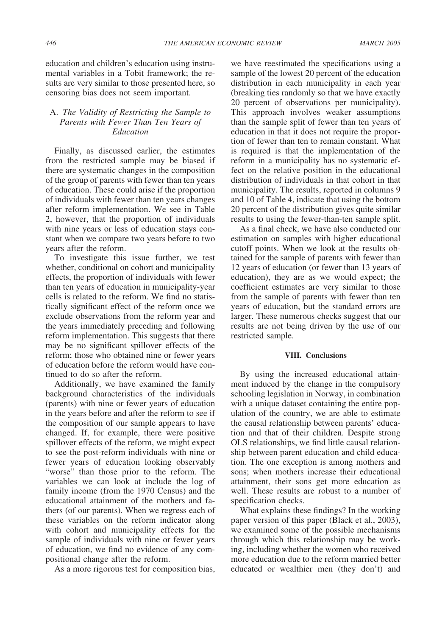education and children's education using instrumental variables in a Tobit framework; the results are very similar to those presented here, so censoring bias does not seem important.

# A. *The Validity of Restricting the Sample to Parents with Fewer Than Ten Years of Education*

Finally, as discussed earlier, the estimates from the restricted sample may be biased if there are systematic changes in the composition of the group of parents with fewer than ten years of education. These could arise if the proportion of individuals with fewer than ten years changes after reform implementation. We see in Table 2, however, that the proportion of individuals with nine years or less of education stays constant when we compare two years before to two years after the reform.

To investigate this issue further, we test whether, conditional on cohort and municipality effects, the proportion of individuals with fewer than ten years of education in municipality-year cells is related to the reform. We find no statistically significant effect of the reform once we exclude observations from the reform year and the years immediately preceding and following reform implementation. This suggests that there may be no significant spillover effects of the reform; those who obtained nine or fewer years of education before the reform would have continued to do so after the reform.

Additionally, we have examined the family background characteristics of the individuals (parents) with nine or fewer years of education in the years before and after the reform to see if the composition of our sample appears to have changed. If, for example, there were positive spillover effects of the reform, we might expect to see the post-reform individuals with nine or fewer years of education looking observably "worse" than those prior to the reform. The variables we can look at include the log of family income (from the 1970 Census) and the educational attainment of the mothers and fathers (of our parents). When we regress each of these variables on the reform indicator along with cohort and municipality effects for the sample of individuals with nine or fewer years of education, we find no evidence of any compositional change after the reform.

As a more rigorous test for composition bias,

we have reestimated the specifications using a sample of the lowest 20 percent of the education distribution in each municipality in each year (breaking ties randomly so that we have exactly 20 percent of observations per municipality). This approach involves weaker assumptions than the sample split of fewer than ten years of education in that it does not require the proportion of fewer than ten to remain constant. What is required is that the implementation of the reform in a municipality has no systematic effect on the relative position in the educational distribution of individuals in that cohort in that municipality. The results, reported in columns 9 and 10 of Table 4, indicate that using the bottom 20 percent of the distribution gives quite similar results to using the fewer-than-ten sample split.

As a final check, we have also conducted our estimation on samples with higher educational cutoff points. When we look at the results obtained for the sample of parents with fewer than 12 years of education (or fewer than 13 years of education), they are as we would expect; the coefficient estimates are very similar to those from the sample of parents with fewer than ten years of education, but the standard errors are larger. These numerous checks suggest that our results are not being driven by the use of our restricted sample.

## **VIII. Conclusions**

By using the increased educational attainment induced by the change in the compulsory schooling legislation in Norway, in combination with a unique dataset containing the entire population of the country, we are able to estimate the causal relationship between parents' education and that of their children. Despite strong OLS relationships, we find little causal relationship between parent education and child education. The one exception is among mothers and sons; when mothers increase their educational attainment, their sons get more education as well. These results are robust to a number of specification checks.

What explains these findings? In the working paper version of this paper (Black et al., 2003), we examined some of the possible mechanisms through which this relationship may be working, including whether the women who received more education due to the reform married better educated or wealthier men (they don't) and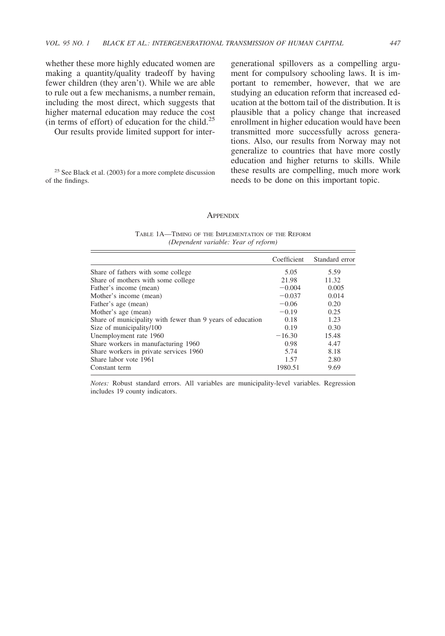whether these more highly educated women are making a quantity/quality tradeoff by having fewer children (they aren't). While we are able to rule out a few mechanisms, a number remain, including the most direct, which suggests that higher maternal education may reduce the cost (in terms of effort) of education for the child. $25$ 

Our results provide limited support for inter-

<sup>25</sup> See Black et al. (2003) for a more complete discussion of the findings.

generational spillovers as a compelling argument for compulsory schooling laws. It is important to remember, however, that we are studying an education reform that increased education at the bottom tail of the distribution. It is plausible that a policy change that increased enrollment in higher education would have been transmitted more successfully across generations. Also, our results from Norway may not generalize to countries that have more costly education and higher returns to skills. While these results are compelling, much more work needs to be done on this important topic.

#### **APPENDIX**

TABLE 1A—TIMING OF THE IMPLEMENTATION OF THE REFORM *(Dependent variable: Year of reform)*

|                                                            | Coefficient | Standard error |
|------------------------------------------------------------|-------------|----------------|
| Share of fathers with some college                         | 5.05        | 5.59           |
| Share of mothers with some college                         | 21.98       | 11.32          |
| Father's income (mean)                                     | $-0.004$    | 0.005          |
| Mother's income (mean)                                     | $-0.037$    | 0.014          |
| Father's age (mean)                                        | $-0.06$     | 0.20           |
| Mother's age (mean)                                        | $-0.19$     | 0.25           |
| Share of municipality with fewer than 9 years of education | 0.18        | 1.23           |
| Size of municipality/100                                   | 0.19        | 0.30           |
| Unemployment rate 1960                                     | $-16.30$    | 15.48          |
| Share workers in manufacturing 1960                        | 0.98        | 4.47           |
| Share workers in private services 1960                     | 5.74        | 8.18           |
| Share labor vote 1961                                      | 1.57        | 2.80           |
| Constant term                                              | 1980.51     | 9.69           |

*Notes:* Robust standard errors. All variables are municipality-level variables. Regression includes 19 county indicators.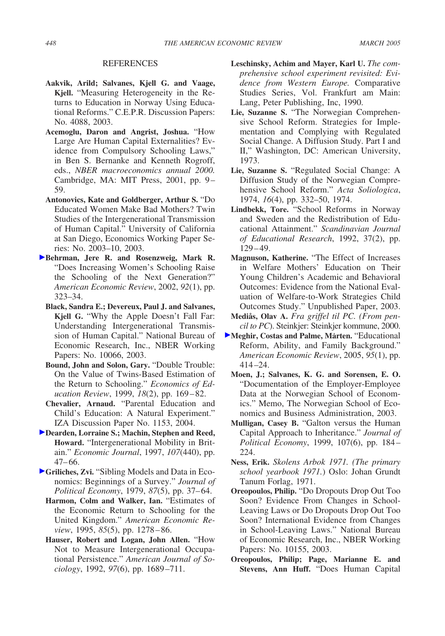## REFERENCES

- **Aakvik, Arild; Salvanes, Kjell G. and Vaage, Kjell.** "Measuring Heterogeneity in the Returns to Education in Norway Using Educational Reforms." C.E.P.R. Discussion Papers: No. 4088, 2003.
- **Acemoglu, Daron and Angrist, Joshua.** "How Large Are Human Capital Externalities? Evidence from Compulsory Schooling Laws," in Ben S. Bernanke and Kenneth Rogroff, eds., *NBER macroeconomics annual 2000.* Cambridge, MA: MIT Press, 2001, pp. 9– 59.
- **Antonovics, Kate and Goldberger, Arthur S.** "Do Educated Women Make Bad Mothers? Twin Studies of the Intergenerational Transmission of Human Capital." University of California at San Diego, Economics Working Paper Series: No. 2003–10, 2003.
- **[B](http://pubs.aeaweb.org/action/showLinks?system=10.1257%2F000282802760015757)ehrman, Jere R. and Rosenzweig, Mark R.** "Does Increasing Women's Schooling Raise the Schooling of the Next Generation?" *American Economic Review*, 2002, *92*(1), pp. 323–34.
	- **Black, Sandra E.; Devereux, Paul J. and Salvanes, Kjell G.** "Why the Apple Doesn't Fall Far: Understanding Intergenerational Transmission of Human Capital." National Bureau of Economic Research, Inc., NBER Working Papers: No. 10066, 2003.
	- **Bound, John and Solon, Gary.** "Double Trouble: On the Value of Twins-Based Estimation of the Return to Schooling." *Economics of Education Review*, 1999, *18*(2), pp. 169 – 82.
	- **Chevalier, Arnaud.** "Parental Education and Child's Education: A Natural Experiment." IZA Discussion Paper No. 1153, 2004.
- **[D](http://pubs.aeaweb.org/action/showLinks?crossref=10.1111%2F1468-0297.00141)earden, Lorraine S.; Machin, Stephen and Reed, Howard.** "Intergenerational Mobility in Britain." *Economic Journal*, 1997, *107*(440), pp.  $47 - 66.$
- **[G](http://pubs.aeaweb.org/action/showLinks?crossref=10.1086%2F260822)riliches, Zvi.** "Sibling Models and Data in Economics: Beginnings of a Survey." *Journal of Political Economy*, 1979, *87*(5), pp. 37– 64.
	- **Harmon, Colm and Walker, Ian.** "Estimates of the Economic Return to Schooling for the United Kingdom." *American Economic Review*, 1995, *85*(5), pp. 1278 – 86.
	- **Hauser, Robert and Logan, John Allen.** "How Not to Measure Intergenerational Occupational Persistence." *American Journal of Sociology*, 1992, *97*(6), pp. 1689 –711.
- **Leschinsky, Achim and Mayer, Karl U.** *The comprehensive school experiment revisited: Evidence from Western Europe.* Comparative Studies Series, Vol. Frankfurt am Main: Lang, Peter Publishing, Inc, 1990.
- **Lie, Suzanne S.** "The Norwegian Comprehensive School Reform. Strategies for Implementation and Complying with Regulated Social Change. A Diffusion Study. Part I and II," Washington, DC: American University, 1973.
- **Lie, Suzanne S.** "Regulated Social Change: A Diffusion Study of the Norwegian Comprehensive School Reform." *Acta Soliologica*, 1974, *16*(4), pp. 332–50, 1974.
- **Lindbekk, Tore.** "School Reforms in Norway and Sweden and the Redistribution of Educational Attainment." *Scandinavian Journal of Educational Research*, 1992, 37(2), pp.  $129 - 49.$
- **Magnuson, Katherine.** "The Effect of Increases in Welfare Mothers' Education on Their Young Children's Academic and Behavioral Outcomes: Evidence from the National Evaluation of Welfare-to-Work Strategies Child Outcomes Study." Unpublished Paper, 2003.
- **Mediås, Olav A.** *Fra griffel til PC. (From pencil to PC*). Steinkjer: Steinkjer kommune, 2000.
- **[M](http://pubs.aeaweb.org/action/showLinks?system=10.1257%2F0002828053828671)eghir, Costas and Palme, Marten.** "Educational" Reform, Ability, and Family Background." *American Economic Review*, 2005, *95*(1), pp. 414 –24.
	- **Moen, J.; Salvanes, K. G. and Sorensen, E. O.** "Documentation of the Employer-Employee Data at the Norwegian School of Economics." Memo, The Norwegian School of Economics and Business Administration, 2003.
	- **Mulligan, Casey B.** "Galton versus the Human Capital Approach to Inheritance." *Journal of Political Economy*, 1999, 107(6), pp. 184 – 224.
	- **Ness, Erik.** *Skolens Arbok 1971. (The primary school yearbook 1971.*) Oslo: Johan Grundt Tanum Forlag, 1971.
	- **Oreopoulos, Philip.** "Do Dropouts Drop Out Too Soon? Evidence From Changes in School-Leaving Laws or Do Dropouts Drop Out Too Soon? International Evidence from Changes in School-Leaving Laws." National Bureau of Economic Research, Inc., NBER Working Papers: No. 10155, 2003.
	- **Oreopoulos, Philip; Page, Marianne E. and Stevens, Ann Huff.** "Does Human Capital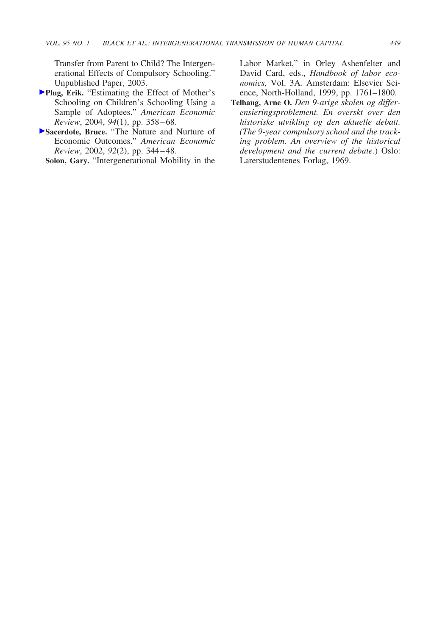Transfer from Parent to Child? The Intergenerational Effects of Compulsory Schooling." Unpublished Paper, 2003.

- **[P](http://pubs.aeaweb.org/action/showLinks?system=10.1257%2F000282804322970850)lug, Erik.** "Estimating the Effect of Mother's Schooling on Children's Schooling Using a Sample of Adoptees." *American Economic Review*, 2004, *94*(1), pp. 358 – 68.
- **[S](http://pubs.aeaweb.org/action/showLinks?system=10.1257%2F000282802320191589)acerdote, Bruce.** "The Nature and Nurture of Economic Outcomes." *American Economic Review*, 2002, *92*(2), pp. 344 – 48.

**Solon, Gary.** "Intergenerational Mobility in the

Labor Market," in Orley Ashenfelter and David Card, eds., *Handbook of labor economics,* Vol. 3A*.* Amsterdam: Elsevier Science, North-Holland, 1999, pp. 1761–1800.

**Telhaug, Arne O.** *Den 9-arige skolen og differensieringsproblement. En overskt over den historiske utvikling og den aktuelle debatt. (The 9-year compulsory school and the tracking problem. An overview of the historical development and the current debate.*) Oslo: Larerstudentenes Forlag, 1969.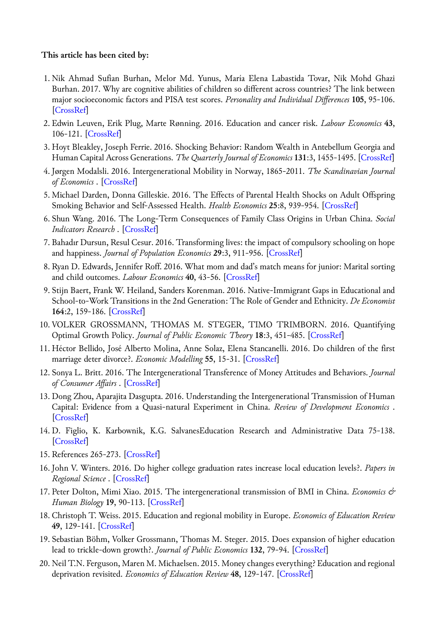# **This article has been cited by:**

- 1. Nik Ahmad Sufian Burhan, Melor Md. Yunus, María Elena Labastida Tovar, Nik Mohd Ghazi Burhan. 2017. Why are cognitive abilities of children so different across countries? The link between major socioeconomic factors and PISA test scores. *Personality and Individual Differences* **105**, 95-106. [\[CrossRef](http://dx.doi.org/10.1016/j.paid.2016.09.043)]
- 2. Edwin Leuven, Erik Plug, Marte Rønning. 2016. Education and cancer risk. *Labour Economics* **43**, 106-121. [\[CrossRef](http://dx.doi.org/10.1016/j.labeco.2016.06.006)]
- 3. Hoyt Bleakley, Joseph Ferrie. 2016. Shocking Behavior: Random Wealth in Antebellum Georgia and Human Capital Across Generations. *The Quarterly Journal of Economics* **131**:3, 1455-1495. [[CrossRef\]](http://dx.doi.org/10.1093/qje/qjw014)
- 4. Jørgen Modalsli. 2016. Intergenerational Mobility in Norway, 1865-2011. *The Scandinavian Journal of Economics* . [[CrossRef\]](http://dx.doi.org/10.1111/sjoe.12196)
- 5. Michael Darden, Donna Gilleskie. 2016. The Effects of Parental Health Shocks on Adult Offspring Smoking Behavior and Self-Assessed Health. *Health Economics* **25**:8, 939-954. [[CrossRef\]](http://dx.doi.org/10.1002/hec.3194)
- 6. Shun Wang. 2016. The Long-Term Consequences of Family Class Origins in Urban China. *Social Indicators Research* . [\[CrossRef](http://dx.doi.org/10.1007/s11205-016-1421-3)]
- 7. Bahadır Dursun, Resul Cesur. 2016. Transforming lives: the impact of compulsory schooling on hope and happiness. *Journal of Population Economics* **29**:3, 911-956. [[CrossRef\]](http://dx.doi.org/10.1007/s00148-016-0592-1)
- 8. Ryan D. Edwards, Jennifer Roff. 2016. What mom and dad's match means for junior: Marital sorting and child outcomes. *Labour Economics* **40**, 43-56. [\[CrossRef](http://dx.doi.org/10.1016/j.labeco.2016.04.005)]
- 9. Stijn Baert, Frank W. Heiland, Sanders Korenman. 2016. Native-Immigrant Gaps in Educational and School-to-Work Transitions in the 2nd Generation: The Role of Gender and Ethnicity. *De Economist* **164**:2, 159-186. [\[CrossRef](http://dx.doi.org/10.1007/s10645-016-9273-4)]
- 10. VOLKER GROSSMANN, THOMAS M. STEGER, TIMO TRIMBORN. 2016. Quantifying Optimal Growth Policy. *Journal of Public Economic Theory* **18**:3, 451-485. [[CrossRef\]](http://dx.doi.org/10.1111/jpet.12151)
- 11. Héctor Bellido, José Alberto Molina, Anne Solaz, Elena Stancanelli. 2016. Do children of the first marriage deter divorce?. *Economic Modelling* **55**, 15-31. [\[CrossRef](http://dx.doi.org/10.1016/j.econmod.2016.01.023)]
- 12. Sonya L. Britt. 2016. The Intergenerational Transference of Money Attitudes and Behaviors. *Journal of Consumer Affairs* . [\[CrossRef](http://dx.doi.org/10.1111/joca.12113)]
- 13.Dong Zhou, Aparajita Dasgupta. 2016. Understanding the Intergenerational Transmission of Human Capital: Evidence from a Quasi-natural Experiment in China. *Review of Development Economics* . [\[CrossRef](http://dx.doi.org/10.1111/rode.12266)]
- 14.D. Figlio, K. Karbownik, K.G. SalvanesEducation Research and Administrative Data 75-138. [\[CrossRef](http://dx.doi.org/10.1016/B978-0-444-63459-7.00002-6)]
- 15. References 265-273. [\[CrossRef](http://dx.doi.org/10.1016/B978-0-12-809756-4.16001-5)]
- 16. John V. Winters. 2016. Do higher college graduation rates increase local education levels?. *Papers in Regional Science* . [\[CrossRef](http://dx.doi.org/10.1111/pirs.12258)]
- 17. Peter Dolton, Mimi Xiao. 2015. The intergenerational transmission of BMI in China. *Economics & Human Biology* **19**, 90-113. [\[CrossRef](http://dx.doi.org/10.1016/j.ehb.2015.06.002)]
- 18. Christoph T. Weiss. 2015. Education and regional mobility in Europe. *Economics of Education Review* **49**, 129-141. [\[CrossRef](http://dx.doi.org/10.1016/j.econedurev.2015.09.003)]
- 19. Sebastian Böhm, Volker Grossmann, Thomas M. Steger. 2015. Does expansion of higher education lead to trickle-down growth?. *Journal of Public Economics* **132**, 79-94. [[CrossRef\]](http://dx.doi.org/10.1016/j.jpubeco.2015.09.011)
- 20. Neil T.N. Ferguson, Maren M. Michaelsen. 2015. Money changes everything? Education and regional deprivation revisited. *Economics of Education Review* **48**, 129-147. [[CrossRef\]](http://dx.doi.org/10.1016/j.econedurev.2015.01.009)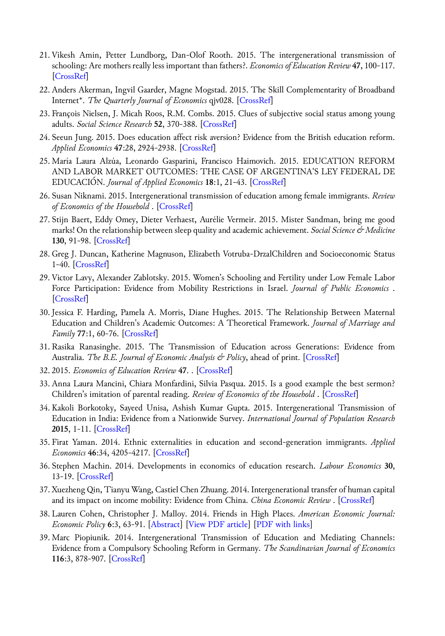- 21. Vikesh Amin, Petter Lundborg, Dan-Olof Rooth. 2015. The intergenerational transmission of schooling: Are mothers really less important than fathers?. *Economics of Education Review* **47**, 100-117. [\[CrossRef](http://dx.doi.org/10.1016/j.econedurev.2015.01.008)]
- 22. Anders Akerman, Ingvil Gaarder, Magne Mogstad. 2015. The Skill Complementarity of Broadband Internet\*. *The Quarterly Journal of Economics* qjv028. [\[CrossRef](http://dx.doi.org/10.1093/qje/qjv028)]
- 23. François Nielsen, J. Micah Roos, R.M. Combs. 2015. Clues of subjective social status among young adults. *Social Science Research* **52**, 370-388. [[CrossRef\]](http://dx.doi.org/10.1016/j.ssresearch.2015.02.006)
- 24. Seeun Jung. 2015. Does education affect risk aversion? Evidence from the British education reform. *Applied Economics* **47**:28, 2924-2938. [\[CrossRef](http://dx.doi.org/10.1080/00036846.2015.1011313)]
- 25. María Laura Alzúa, Leonardo Gasparini, Francisco Haimovich. 2015. EDUCATION REFORM AND LABOR MARKET OUTCOMES: THE CASE OF ARGENTINA'S LEY FEDERAL DE EDUCACIÓN. *Journal of Applied Economics* **18**:1, 21-43. [[CrossRef\]](http://dx.doi.org/10.1016/S1514-0326(15)30002-7)
- 26. Susan Niknami. 2015. Intergenerational transmission of education among female immigrants. *Review of Economics of the Household* . [\[CrossRef](http://dx.doi.org/10.1007/s11150-015-9294-9)]
- 27. Stijn Baert, Eddy Omey, Dieter Verhaest, Aurélie Vermeir. 2015. Mister Sandman, bring me good marks! On the relationship between sleep quality and academic achievement. *Social Science & Medicine* **130**, 91-98. [\[CrossRef](http://dx.doi.org/10.1016/j.socscimed.2015.02.011)]
- 28. Greg J. Duncan, Katherine Magnuson, Elizabeth Votruba-DrzalChildren and Socioeconomic Status 1-40. [\[CrossRef\]](http://dx.doi.org/10.1002/9781118963418.childpsy414)
- 29. Victor Lavy, Alexander Zablotsky. 2015. Women's Schooling and Fertility under Low Female Labor Force Participation: Evidence from Mobility Restrictions in Israel. *Journal of Public Economics* . [\[CrossRef](http://dx.doi.org/10.1016/j.jpubeco.2015.02.009)]
- 30. Jessica F. Harding, Pamela A. Morris, Diane Hughes. 2015. The Relationship Between Maternal Education and Children's Academic Outcomes: A Theoretical Framework. *Journal of Marriage and Family* **77**:1, 60-76. [\[CrossRef](http://dx.doi.org/10.1111/jomf.12156)]
- 31. Rasika Ranasinghe. 2015. The Transmission of Education across Generations: Evidence from Australia. *The B.E. Journal of Economic Analysis & Policy*, ahead of print. [\[CrossRef](http://dx.doi.org/10.1515/bejeap-2014-0139)]
- 32. 2015. *Economics of Education Review* **47**. . [\[CrossRef](http://dx.doi.org/10.1016/j.econedurev.2015.03.007)]
- 33. Anna Laura Mancini, Chiara Monfardini, Silvia Pasqua. 2015. Is a good example the best sermon? Children's imitation of parental reading. *Review of Economics of the Household* . [\[CrossRef](http://dx.doi.org/10.1007/s11150-015-9287-8)]
- 34. Kakoli Borkotoky, Sayeed Unisa, Ashish Kumar Gupta. 2015. Intergenerational Transmission of Education in India: Evidence from a Nationwide Survey. *International Journal of Population Research* **2015**, 1-11. [\[CrossRef](http://dx.doi.org/10.1155/2015/251953)]
- 35. Firat Yaman. 2014. Ethnic externalities in education and second-generation immigrants. *Applied Economics* **46**:34, 4205-4217. [[CrossRef\]](http://dx.doi.org/10.1080/00036846.2014.952893)
- 36. Stephen Machin. 2014. Developments in economics of education research. *Labour Economics* **30**, 13-19. [\[CrossRef](http://dx.doi.org/10.1016/j.labeco.2014.06.003)]
- 37. Xuezheng Qin, Tianyu Wang, Castiel Chen Zhuang. 2014. Intergenerational transfer of human capital and its impact on income mobility: Evidence from China. *China Economic Review* . [[CrossRef\]](http://dx.doi.org/10.1016/j.chieco.2014.10.005)
- 38. Lauren Cohen, Christopher J. Malloy. 2014. Friends in High Places. *American Economic Journal: Economic Policy* **6**:3, 63-91. [[Abstract\]](http://dx.doi.org/10.1257/pol.6.3.63) [[View PDF article\]](http://pubs.aeaweb.org/doi/pdf/10.1257/pol.6.3.63) [\[PDF with links\]](http://pubs.aeaweb.org/doi/pdfplus/10.1257/pol.6.3.63)
- 39. Marc Piopiunik. 2014. Intergenerational Transmission of Education and Mediating Channels: Evidence from a Compulsory Schooling Reform in Germany. *The Scandinavian Journal of Economics* **116**:3, 878-907. [\[CrossRef](http://dx.doi.org/10.1111/sjoe.12063)]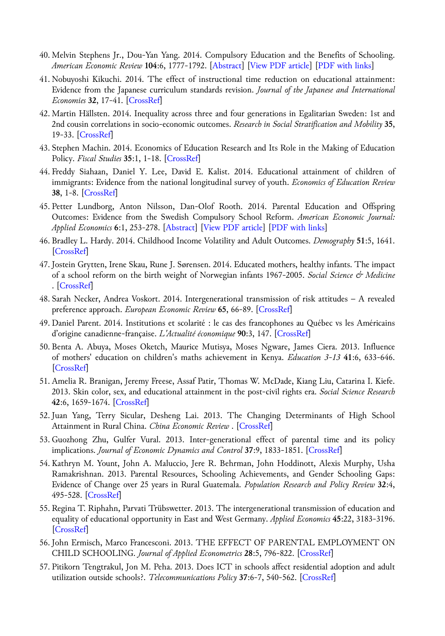- 40. Melvin Stephens Jr., Dou-Yan Yang. 2014. Compulsory Education and the Benefits of Schooling. *American Economic Review* **104**:6, 1777-1792. [[Abstract\]](http://dx.doi.org/10.1257/aer.104.6.1777) [\[View PDF article](http://pubs.aeaweb.org/doi/pdf/10.1257/aer.104.6.1777)] [\[PDF with links\]](http://pubs.aeaweb.org/doi/pdfplus/10.1257/aer.104.6.1777)
- 41. Nobuyoshi Kikuchi. 2014. The effect of instructional time reduction on educational attainment: Evidence from the Japanese curriculum standards revision. *Journal of the Japanese and International Economies* **32**, 17-41. [[CrossRef\]](http://dx.doi.org/10.1016/j.jjie.2014.01.001)
- 42. Martin Hällsten. 2014. Inequality across three and four generations in Egalitarian Sweden: 1st and 2nd cousin correlations in socio-economic outcomes. *Research in Social Stratification and Mobility* **35**, 19-33. [\[CrossRef](http://dx.doi.org/10.1016/j.rssm.2013.09.002)]
- 43. Stephen Machin. 2014. Economics of Education Research and Its Role in the Making of Education Policy. *Fiscal Studies* **35**:1, 1-18. [\[CrossRef](http://dx.doi.org/10.1111/j.1475-5890.2014.12020.x)]
- 44. Freddy Siahaan, Daniel Y. Lee, David E. Kalist. 2014. Educational attainment of children of immigrants: Evidence from the national longitudinal survey of youth. *Economics of Education Review* **38**, 1-8. [\[CrossRef](http://dx.doi.org/10.1016/j.econedurev.2013.10.001)]
- 45. Petter Lundborg, Anton Nilsson, Dan-Olof Rooth. 2014. Parental Education and Offspring Outcomes: Evidence from the Swedish Compulsory School Reform. *American Economic Journal: Applied Economics* **6**:1, 253-278. [[Abstract\]](http://dx.doi.org/10.1257/app.6.1.253) [[View PDF article](http://pubs.aeaweb.org/doi/pdf/10.1257/app.6.1.253)] [\[PDF with links\]](http://pubs.aeaweb.org/doi/pdfplus/10.1257/app.6.1.253)
- 46. Bradley L. Hardy. 2014. Childhood Income Volatility and Adult Outcomes. *Demography* **51**:5, 1641.  $|CrossRef|$
- 47. Jostein Grytten, Irene Skau, Rune J. Sørensen. 2014. Educated mothers, healthy infants. The impact of a school reform on the birth weight of Norwegian infants 1967-2005. *Social Science & Medicine* . CrossRef
- 48. Sarah Necker, Andrea Voskort. 2014. Intergenerational transmission of risk attitudes A revealed preference approach. *European Economic Review* **65**, 66-89. [[CrossRef\]](http://dx.doi.org/10.1016/j.euroecorev.2013.10.005)
- 49.Daniel Parent. 2014. Institutions et scolarité : le cas des francophones au Québec vs les Américains d'origine canadienne-française. *L'Actualité économique* **90**:3, 147. [[CrossRef\]](http://dx.doi.org/10.7202/1034736ar)
- 50. Benta A. Abuya, Moses Oketch, Maurice Mutisya, Moses Ngware, James Ciera. 2013. Influence of mothers' education on children's maths achievement in Kenya. *Education 3-13* **41**:6, 633-646. [\[CrossRef](http://dx.doi.org/10.1080/03004279.2011.631562)]
- 51. Amelia R. Branigan, Jeremy Freese, Assaf Patir, Thomas W. McDade, Kiang Liu, Catarina I. Kiefe. 2013. Skin color, sex, and educational attainment in the post-civil rights era. *Social Science Research* **42**:6, 1659-1674. [[CrossRef\]](http://dx.doi.org/10.1016/j.ssresearch.2013.07.010)
- 52. Juan Yang, Terry Sicular, Desheng Lai. 2013. The Changing Determinants of High School Attainment in Rural China. *China Economic Review* . [[CrossRef\]](http://dx.doi.org/10.1016/j.chieco.2013.10.001)
- 53. Guozhong Zhu, Gulfer Vural. 2013. Inter-generational effect of parental time and its policy implications. *Journal of Economic Dynamics and Control* **37**:9, 1833-1851. [\[CrossRef\]](http://dx.doi.org/10.1016/j.jedc.2013.04.013)
- 54. Kathryn M. Yount, John A. Maluccio, Jere R. Behrman, John Hoddinott, Alexis Murphy, Usha Ramakrishnan. 2013. Parental Resources, Schooling Achievements, and Gender Schooling Gaps: Evidence of Change over 25 years in Rural Guatemala. *Population Research and Policy Review* **32**:4, 495-528. [\[CrossRef](http://dx.doi.org/10.1007/s11113-013-9270-0)]
- 55. Regina T. Riphahn, Parvati Trübswetter. 2013. The intergenerational transmission of education and equality of educational opportunity in East and West Germany. *Applied Economics* **45**:22, 3183-3196. [\[CrossRef](http://dx.doi.org/10.1080/00036846.2012.703314)]
- 56. John Ermisch, Marco Francesconi. 2013. THE EFFECT OF PARENTAL EMPLOYMENT ON CHILD SCHOOLING. *Journal of Applied Econometrics* **28**:5, 796-822. [[CrossRef\]](http://dx.doi.org/10.1002/jae.2260)
- 57. Pitikorn Tengtrakul, Jon M. Peha. 2013. Does ICT in schools affect residential adoption and adult utilization outside schools?. *Telecommunications Policy* **37**:6-7, 540-562. [\[CrossRef](http://dx.doi.org/10.1016/j.telpol.2013.01.002)]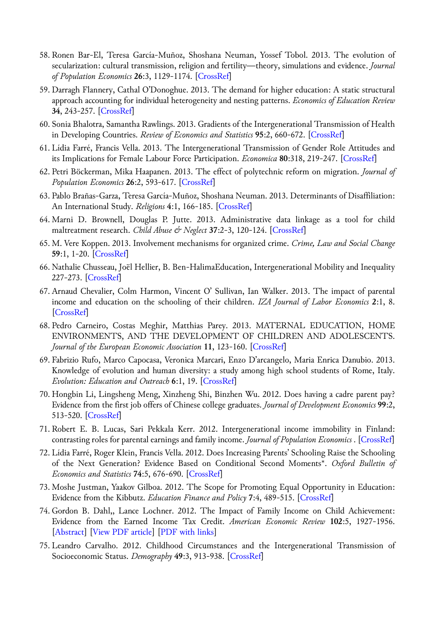- 58. Ronen Bar-El, Teresa García-Muñoz, Shoshana Neuman, Yossef Tobol. 2013. The evolution of secularization: cultural transmission, religion and fertility—theory, simulations and evidence. *Journal of Population Economics* **26**:3, 1129-1174. [\[CrossRef](http://dx.doi.org/10.1007/s00148-011-0401-9)]
- 59.Darragh Flannery, Cathal O'Donoghue. 2013. The demand for higher education: A static structural approach accounting for individual heterogeneity and nesting patterns. *Economics of Education Review* **34**, 243-257. [\[CrossRef](http://dx.doi.org/10.1016/j.econedurev.2012.12.001)]
- 60. Sonia Bhalotra, Samantha Rawlings. 2013. Gradients of the Intergenerational Transmission of Health in Developing Countries. *Review of Economics and Statistics* **95**:2, 660-672. [\[CrossRef](http://dx.doi.org/10.1162/REST_a_00263)]
- 61. Lídia Farré, Francis Vella. 2013. The Intergenerational Transmission of Gender Role Attitudes and its Implications for Female Labour Force Participation. *Economica* **80**:318, 219-247. [[CrossRef\]](http://dx.doi.org/10.1111/ecca.12008)
- 62. Petri Böckerman, Mika Haapanen. 2013. The effect of polytechnic reform on migration. *Journal of Population Economics* **26**:2, 593-617. [[CrossRef\]](http://dx.doi.org/10.1007/s00148-012-0454-4)
- 63. Pablo Brañas-Garza, Teresa García-Muñoz, Shoshana Neuman. 2013. Determinants of Disaffiliation: An International Study. *Religions* **4**:1, 166-185. [[CrossRef\]](http://dx.doi.org/10.3390/rel4010166)
- 64. Marni D. Brownell, Douglas P. Jutte. 2013. Administrative data linkage as a tool for child maltreatment research. *Child Abuse & Neglect* **37**:2-3, 120-124. [[CrossRef\]](http://dx.doi.org/10.1016/j.chiabu.2012.09.013)
- 65. M. Vere Koppen. 2013. Involvement mechanisms for organized crime. *Crime, Law and Social Change* **59**:1, 1-20. [[CrossRef\]](http://dx.doi.org/10.1007/s10611-012-9396-8)
- 66. Nathalie Chusseau, Joël Hellier, B. Ben-HalimaEducation, Intergenerational Mobility and Inequality 227-273. [\[CrossRef](http://dx.doi.org/10.1057/9781137283306_9)]
- 67. Arnaud Chevalier, Colm Harmon, Vincent O' Sullivan, Ian Walker. 2013. The impact of parental income and education on the schooling of their children. *IZA Journal of Labor Economics* **2**:1, 8. [\[CrossRef](http://dx.doi.org/10.1186/2193-8997-2-8)]
- 68. Pedro Carneiro, Costas Meghir, Matthias Parey. 2013. MATERNAL EDUCATION, HOME ENVIRONMENTS, AND THE DEVELOPMENT OF CHILDREN AND ADOLESCENTS. *Journal of the European Economic Association* **11**, 123-160. [\[CrossRef](http://dx.doi.org/10.1111/j.1542-4774.2012.01096.x)]
- 69. Fabrizio Rufo, Marco Capocasa, Veronica Marcari, Enzo D'arcangelo, Maria Enrica Danubio. 2013. Knowledge of evolution and human diversity: a study among high school students of Rome, Italy. *Evolution: Education and Outreach* **6**:1, 19. [[CrossRef\]](http://dx.doi.org/10.1186/1936-6434-6-19)
- 70. Hongbin Li, Lingsheng Meng, Xinzheng Shi, Binzhen Wu. 2012. Does having a cadre parent pay? Evidence from the first job offers of Chinese college graduates. *Journal of Development Economics* **99**:2, 513-520. [\[CrossRef](http://dx.doi.org/10.1016/j.jdeveco.2012.06.005)]
- 71. Robert E. B. Lucas, Sari Pekkala Kerr. 2012. Intergenerational income immobility in Finland: contrasting roles for parental earnings and family income. *Journal of Population Economics* . [[CrossRef\]](http://dx.doi.org/10.1007/s00148-012-0442-8)
- 72. Lídia Farré, Roger Klein, Francis Vella. 2012. Does Increasing Parents' Schooling Raise the Schooling of the Next Generation? Evidence Based on Conditional Second Moments\*. *Oxford Bulletin of Economics and Statistics* **74**:5, 676-690. [\[CrossRef](http://dx.doi.org/10.1111/j.1468-0084.2011.00667.x)]
- 73. Moshe Justman, Yaakov Gilboa. 2012. The Scope for Promoting Equal Opportunity in Education: Evidence from the Kibbutz. *Education Finance and Policy* **7**:4, 489-515. [[CrossRef\]](http://dx.doi.org/10.1162/EDFP_a_00077)
- 74. Gordon B. Dahl,, Lance Lochner. 2012. The Impact of Family Income on Child Achievement: Evidence from the Earned Income Tax Credit. *American Economic Review* **102**:5, 1927-1956. [\[Abstract](http://dx.doi.org/10.1257/aer.102.5.1927)] [\[View PDF article](http://pubs.aeaweb.org/doi/pdf/10.1257/aer.102.5.1927)] [[PDF with links](http://pubs.aeaweb.org/doi/pdfplus/10.1257/aer.102.5.1927)]
- 75. Leandro Carvalho. 2012. Childhood Circumstances and the Intergenerational Transmission of Socioeconomic Status. *Demography* **49**:3, 913-938. [[CrossRef\]](http://dx.doi.org/10.1007/s13524-012-0120-1)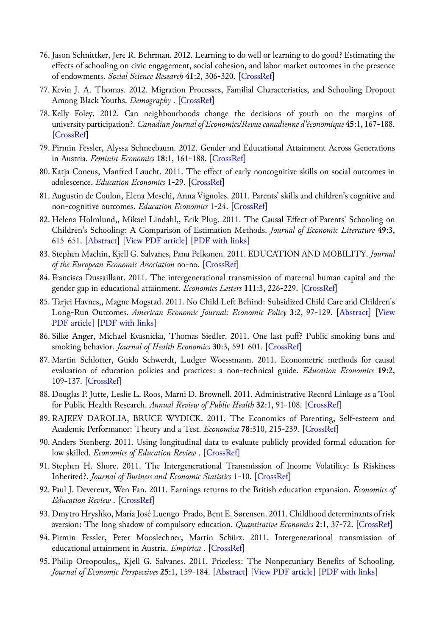- 76. Jason Schnittker, Jere R. Behrman. 2012. Learning to do well or learning to do good? Estimating the effects of schooling on civic engagement, social cohesion, and labor market outcomes in the presence of endowments. *Social Science Research* **41**:2, 306-320. [\[CrossRef](http://dx.doi.org/10.1016/j.ssresearch.2011.11.010)]
- 77. Kevin J. A. Thomas. 2012. Migration Processes, Familial Characteristics, and Schooling Dropout Among Black Youths. *Demography* . [[CrossRef\]](http://dx.doi.org/10.1007/s13524-012-0091-2)
- 78. Kelly Foley. 2012. Can neighbourhoods change the decisions of youth on the margins of university participation?. *Canadian Journal of Economics/Revue canadienne d'économique* **45**:1, 167-188. [\[CrossRef](http://dx.doi.org/10.1111/j.1540-5982.2011.01691.x)]
- 79. Pirmin Fessler, Alyssa Schneebaum. 2012. Gender and Educational Attainment Across Generations in Austria. *Feminist Economics* **18**:1, 161-188. [\[CrossRef](http://dx.doi.org/10.1080/13545701.2012.657661)]
- 80. Katja Coneus, Manfred Laucht. 2011. The effect of early noncognitive skills on social outcomes in adolescence. *Education Economics* 1-29. [\[CrossRef](http://dx.doi.org/10.1080/09645292.2010.547720)]
- 81. Augustin de Coulon, Elena Meschi, Anna Vignoles. 2011. Parents' skills and children's cognitive and non‐cognitive outcomes. *Education Economics* 1-24. [[CrossRef\]](http://dx.doi.org/10.1080/09645292.2010.511829)
- 82. Helena Holmlund,, Mikael Lindahl,, Erik Plug. 2011. The Causal Effect of Parents' Schooling on Children's Schooling: A Comparison of Estimation Methods. *Journal of Economic Literature* **49**:3, 615-651. [\[Abstract](http://dx.doi.org/10.1257/jel.49.3.615)] [\[View PDF article](http://pubs.aeaweb.org/doi/pdf/10.1257/jel.49.3.615)] [\[PDF with links](http://pubs.aeaweb.org/doi/pdfplus/10.1257/jel.49.3.615)]
- 83. Stephen Machin, Kjell G. Salvanes, Panu Pelkonen. 2011. EDUCATION AND MOBILITY. *Journal of the European Economic Association* no-no. [[CrossRef\]](http://dx.doi.org/10.1111/j.1542-4774.2011.01048.x)
- 84. Francisca Dussaillant. 2011. The intergenerational transmission of maternal human capital and the gender gap in educational attainment. *Economics Letters* **111**:3, 226-229. [\[CrossRef](http://dx.doi.org/10.1016/j.econlet.2011.02.002)]
- 85. Tarjei Havnes,, Magne Mogstad. 2011. No Child Left Behind: Subsidized Child Care and Children's Long-Run Outcomes. *American Economic Journal: Economic Policy* **3**:2, 97-129. [\[Abstract](http://dx.doi.org/10.1257/pol.3.2.97)] [\[View](http://pubs.aeaweb.org/doi/pdf/10.1257/pol.3.2.97) [PDF article\]](http://pubs.aeaweb.org/doi/pdf/10.1257/pol.3.2.97) [[PDF with links\]](http://pubs.aeaweb.org/doi/pdfplus/10.1257/pol.3.2.97)
- 86. Silke Anger, Michael Kvasnicka, Thomas Siedler. 2011. One last puff? Public smoking bans and smoking behavior. *Journal of Health Economics* **30**:3, 591-601. [[CrossRef\]](http://dx.doi.org/10.1016/j.jhealeco.2011.03.003)
- 87. Martin Schlotter, Guido Schwerdt, Ludger Woessmann. 2011. Econometric methods for causal evaluation of education policies and practices: a non-technical guide. *Education Economics* **19**:2, 109-137. [\[CrossRef](http://dx.doi.org/10.1080/09645292.2010.511821)]
- 88.Douglas P. Jutte, Leslie L. Roos, Marni D. Brownell. 2011. Administrative Record Linkage as a Tool for Public Health Research. *Annual Review of Public Health* **32**:1, 91-108. [\[CrossRef\]](http://dx.doi.org/10.1146/annurev-publhealth-031210-100700)
- 89. RAJEEV DAROLIA, BRUCE WYDICK. 2011. The Economics of Parenting, Self-esteem and Academic Performance: Theory and a Test. *Economica* **78**:310, 215-239. [[CrossRef\]](http://dx.doi.org/10.1111/j.1468-0335.2009.00802.x)
- 90. Anders Stenberg. 2011. Using longitudinal data to evaluate publicly provided formal education for low skilled. *Economics of Education Review* . [[CrossRef\]](http://dx.doi.org/10.1016/j.econedurev.2011.04.008)
- 91. Stephen H. Shore. 2011. The Intergenerational Transmission of Income Volatility: Is Riskiness Inherited?. *Journal of Business and Economic Statistics* 1-10. [\[CrossRef](http://dx.doi.org/10.1198/jbes.2011.08091)]
- 92. Paul J. Devereux, Wen Fan. 2011. Earnings returns to the British education expansion. *Economics of Education Review* . [[CrossRef\]](http://dx.doi.org/10.1016/j.econedurev.2011.03.004)
- 93.Dmytro Hryshko, María José Luengo-Prado, Bent E. Sørensen. 2011. Childhood determinants of risk aversion: The long shadow of compulsory education. *Quantitative Economics* **2**:1, 37-72. [\[CrossRef](http://dx.doi.org/10.3982/QE2)]
- 94. Pirmin Fessler, Peter Mooslechner, Martin Schürz. 2011. Intergenerational transmission of educational attainment in Austria. *Empirica* . [\[CrossRef](http://dx.doi.org/10.1007/s10663-010-9156-x)]
- 95. Philip Oreopoulos,, Kjell G. Salvanes. 2011. Priceless: The Nonpecuniary Benefits of Schooling. *Journal of Economic Perspectives* **25**:1, 159-184. [\[Abstract](http://dx.doi.org/10.1257/jep.25.1.159)] [\[View PDF article](http://pubs.aeaweb.org/doi/pdf/10.1257/jep.25.1.159)] [\[PDF with links](http://pubs.aeaweb.org/doi/pdfplus/10.1257/jep.25.1.159)]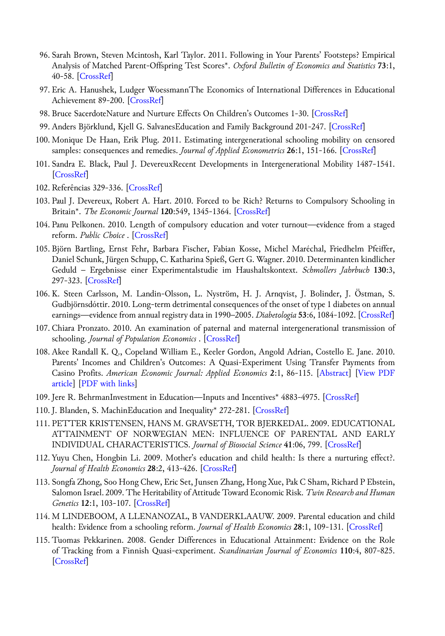- 96. Sarah Brown, Steven Mcintosh, Karl Taylor. 2011. Following in Your Parents' Footsteps? Empirical Analysis of Matched Parent-Offspring Test Scores\*. *Oxford Bulletin of Economics and Statistics* **73**:1, 40-58. [\[CrossRef](http://dx.doi.org/10.1111/j.1468-0084.2010.00604.x)]
- 97. Eric A. Hanushek, Ludger WoessmannThe Economics of International Differences in Educational Achievement 89-200. [\[CrossRef](http://dx.doi.org/10.1016/B978-0-444-53429-3.00002-8)]
- 98. Bruce SacerdoteNature and Nurture Effects On Children's Outcomes 1-30. [\[CrossRef](http://dx.doi.org/10.1016/B978-0-444-53187-2.00001-2)]
- 99. Anders Björklund, Kjell G. SalvanesEducation and Family Background 201-247. [[CrossRef\]](http://dx.doi.org/10.1016/B978-0-444-53429-3.00003-X)
- 100. Monique De Haan, Erik Plug. 2011. Estimating intergenerational schooling mobility on censored samples: consequences and remedies. *Journal of Applied Econometrics* **26**:1, 151-166. [[CrossRef\]](http://dx.doi.org/10.1002/jae.1123)
- 101. Sandra E. Black, Paul J. DevereuxRecent Developments in Intergenerational Mobility 1487-1541. [\[CrossRef](http://dx.doi.org/10.1016/S0169-7218(11)02414-2)]
- 102. Referências 329-336. [[CrossRef\]](http://dx.doi.org/10.1016/B978-85-352-4839-5.50022-3)
- 103. Paul J. Devereux, Robert A. Hart. 2010. Forced to be Rich? Returns to Compulsory Schooling in Britain\*. *The Economic Journal* **120**:549, 1345-1364. [\[CrossRef](http://dx.doi.org/10.1111/j.1468-0297.2010.02365.x)]
- 104. Panu Pelkonen. 2010. Length of compulsory education and voter turnout—evidence from a staged reform. *Public Choice* . [\[CrossRef](http://dx.doi.org/10.1007/s11127-010-9689-3)]
- 105. Björn Bartling, Ernst Fehr, Barbara Fischer, Fabian Kosse, Michel Maréchal, Friedhelm Pfeiffer, Daniel Schunk, Jürgen Schupp, C. Katharina Spieß, Gert G. Wagner. 2010. Determinanten kindlicher Geduld – Ergebnisse einer Experimentalstudie im Haushaltskontext. *Schmollers Jahrbuch* **130**:3, 297-323. [\[CrossRef](http://dx.doi.org/10.3790/schm.130.3.297)]
- 106. K. Steen Carlsson, M. Landin-Olsson, L. Nyström, H. J. Arnqvist, J. Bolinder, J. Östman, S. Gudbjörnsdóttir. 2010. Long-term detrimental consequences of the onset of type 1 diabetes on annual earnings—evidence from annual registry data in 1990–2005. *Diabetologia* **53**:6, 1084-1092. [[CrossRef\]](http://dx.doi.org/10.1007/s00125-009-1625-z)
- 107. Chiara Pronzato. 2010. An examination of paternal and maternal intergenerational transmission of schooling. *Journal of Population Economics* . [[CrossRef\]](http://dx.doi.org/10.1007/s00148-010-0311-2)
- 108. Akee Randall K. Q., Copeland William E., Keeler Gordon, Angold Adrian, Costello E. Jane. 2010. Parents' Incomes and Children's Outcomes: A Quasi-Experiment Using Transfer Payments from Casino Profits. *American Economic Journal: Applied Economics* **2**:1, 86-115. [[Abstract\]](http://dx.doi.org/10.1257/app.2.1.86) [[View PDF](http://pubs.aeaweb.org/doi/pdf/10.1257/app.2.1.86) [article](http://pubs.aeaweb.org/doi/pdf/10.1257/app.2.1.86)] [\[PDF with links](http://pubs.aeaweb.org/doi/pdfplus/10.1257/app.2.1.86)]
- 109. Jere R. BehrmanInvestment in Education—Inputs and Incentives\* 4883-4975. [[CrossRef\]](http://dx.doi.org/10.1016/B978-0-444-52944-2.00011-2)
- 110. J. Blanden, S. MachinEducation and Inequality\* 272-281. [\[CrossRef](http://dx.doi.org/10.1016/B978-0-08-044894-7.01218-5)]
- 111. PETTER KRISTENSEN, HANS M. GRAVSETH, TOR BJERKEDAL. 2009. EDUCATIONAL ATTAINMENT OF NORWEGIAN MEN: INFLUENCE OF PARENTAL AND EARLY INDIVIDUAL CHARACTERISTICS. *Journal of Biosocial Science* **41**:06, 799. [\[CrossRef](http://dx.doi.org/10.1017/S0021932009990228)]
- 112. Yuyu Chen, Hongbin Li. 2009. Mother's education and child health: Is there a nurturing effect?. *Journal of Health Economics* **28**:2, 413-426. [[CrossRef\]](http://dx.doi.org/10.1016/j.jhealeco.2008.10.005)
- 113. Songfa Zhong, Soo Hong Chew, Eric Set, Junsen Zhang, Hong Xue, Pak C Sham, Richard P Ebstein, Salomon Israel. 2009. The Heritability of Attitude Toward Economic Risk. *Twin Research and Human Genetics* **12**:1, 103-107. [[CrossRef\]](http://dx.doi.org/10.1375/twin.12.1.103)
- 114. M LINDEBOOM, A LLENANOZAL, B VANDERKLAAUW. 2009. Parental education and child health: Evidence from a schooling reform. *Journal of Health Economics* **28**:1, 109-131. [[CrossRef\]](http://dx.doi.org/10.1016/j.jhealeco.2008.08.003)
- 115. Tuomas Pekkarinen. 2008. Gender Differences in Educational Attainment: Evidence on the Role of Tracking from a Finnish Quasi-experiment. *Scandinavian Journal of Economics* **110**:4, 807-825.  $|CrossRef|$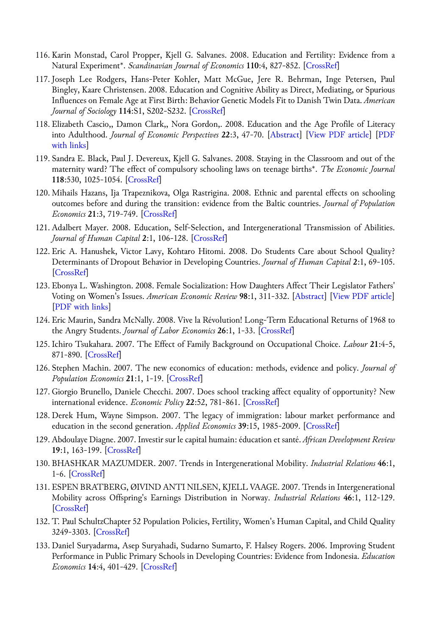- 116. Karin Monstad, Carol Propper, Kjell G. Salvanes. 2008. Education and Fertility: Evidence from a Natural Experiment\*. *Scandinavian Journal of Economics* **110**:4, 827-852. [\[CrossRef\]](http://dx.doi.org/10.1111/j.1467-9442.2008.00563.x)
- 117. Joseph Lee Rodgers, Hans‐Peter Kohler, Matt McGue, Jere R. Behrman, Inge Petersen, Paul Bingley, Kaare Christensen. 2008. Education and Cognitive Ability as Direct, Mediating, or Spurious Influences on Female Age at First Birth: Behavior Genetic Models Fit to Danish Twin Data. *American Journal of Sociology* **114**:S1, S202-S232. [\[CrossRef](http://dx.doi.org/10.1086/592205)]
- 118. Elizabeth Cascio,, Damon Clark,, Nora Gordon,. 2008. Education and the Age Profile of Literacy into Adulthood. *Journal of Economic Perspectives* **22**:3, 47-70. [[Abstract\]](http://dx.doi.org/10.1257/jep.22.3.47) [[View PDF article\]](http://pubs.aeaweb.org/doi/pdf/10.1257/jep.22.3.47) [\[PDF](http://pubs.aeaweb.org/doi/pdfplus/10.1257/jep.22.3.47) [with links](http://pubs.aeaweb.org/doi/pdfplus/10.1257/jep.22.3.47)]
- 119. Sandra E. Black, Paul J. Devereux, Kjell G. Salvanes. 2008. Staying in the Classroom and out of the maternity ward? The effect of compulsory schooling laws on teenage births\*. *The Economic Journal* **118**:530, 1025-1054. [[CrossRef\]](http://dx.doi.org/10.1111/j.1468-0297.2008.02159.x)
- 120. Mihails Hazans, Ija Trapeznikova, Olga Rastrigina. 2008. Ethnic and parental effects on schooling outcomes before and during the transition: evidence from the Baltic countries. *Journal of Population Economics* **21**:3, 719-749. [[CrossRef\]](http://dx.doi.org/10.1007/s00148-007-0134-y)
- 121. Adalbert Mayer. 2008. Education, Self‐Selection, and Intergenerational Transmission of Abilities. *Journal of Human Capital* **2**:1, 106-128. [\[CrossRef](http://dx.doi.org/10.1086/587143)]
- 122. Eric A. Hanushek, Victor Lavy, Kohtaro Hitomi. 2008. Do Students Care about School Quality? Determinants of Dropout Behavior in Developing Countries. *Journal of Human Capital* **2**:1, 69-105. [\[CrossRef](http://dx.doi.org/10.1086/529446)]
- 123. Ebonya L. Washington. 2008. Female Socialization: How Daughters Affect Their Legislator Fathers' Voting on Women's Issues. *American Economic Review* **98**:1, 311-332. [\[Abstract](http://dx.doi.org/10.1257/aer.98.1.311)] [[View PDF article\]](http://pubs.aeaweb.org/doi/pdf/10.1257/aer.98.1.311) [\[PDF with links\]](http://pubs.aeaweb.org/doi/pdfplus/10.1257/aer.98.1.311)
- 124. Eric Maurin, Sandra McNally. 2008. Vive la Révolution! Long‐Term Educational Returns of 1968 to the Angry Students. *Journal of Labor Economics* **26**:1, 1-33. [\[CrossRef](http://dx.doi.org/10.1086/522071)]
- 125. Ichiro Tsukahara. 2007. The Effect of Family Background on Occupational Choice. *Labour* **21**:4-5, 871-890. [\[CrossRef](http://dx.doi.org/10.1111/j.1467-9914.2007.00395.x)]
- 126. Stephen Machin. 2007. The new economics of education: methods, evidence and policy. *Journal of Population Economics* **21**:1, 1-19. [[CrossRef\]](http://dx.doi.org/10.1007/s00148-007-0166-3)
- 127. Giorgio Brunello, Daniele Checchi. 2007. Does school tracking affect equality of opportunity? New international evidence. *Economic Policy* **22**:52, 781-861. [\[CrossRef](http://dx.doi.org/10.1111/j.1468-0327.2007.00189.x)]
- 128.Derek Hum, Wayne Simpson. 2007. The legacy of immigration: labour market performance and education in the second generation. *Applied Economics* **39**:15, 1985-2009. [[CrossRef\]](http://dx.doi.org/10.1080/00036840600690223)
- 129. Abdoulaye Diagne. 2007. Investir sur le capital humain: éducation et santé. *African Development Review* **19**:1, 163-199. [[CrossRef\]](http://dx.doi.org/10.1111/j.1467-8268.2007.00159.x)
- 130. BHASHKAR MAZUMDER. 2007. Trends in Intergenerational Mobility. *Industrial Relations* **46**:1, 1-6. [[CrossRef\]](http://dx.doi.org/10.1111/j.1468-232X.2007.00454.x)
- 131. ESPEN BRATBERG, ØIVIND ANTI NILSEN, KJELL VAAGE. 2007. Trends in Intergenerational Mobility across Offspring's Earnings Distribution in Norway. *Industrial Relations* **46**:1, 112-129. [\[CrossRef](http://dx.doi.org/10.1111/j.1468-232X.2007.00459.x)]
- 132. T. Paul SchultzChapter 52 Population Policies, Fertility, Women's Human Capital, and Child Quality 3249-3303. [[CrossRef\]](http://dx.doi.org/10.1016/S1573-4471(07)04052-1)
- 133.Daniel Suryadarma, Asep Suryahadi, Sudarno Sumarto, F. Halsey Rogers. 2006. Improving Student Performance in Public Primary Schools in Developing Countries: Evidence from Indonesia. *Education Economics* **14**:4, 401-429. [[CrossRef\]](http://dx.doi.org/10.1080/09645290600854110)